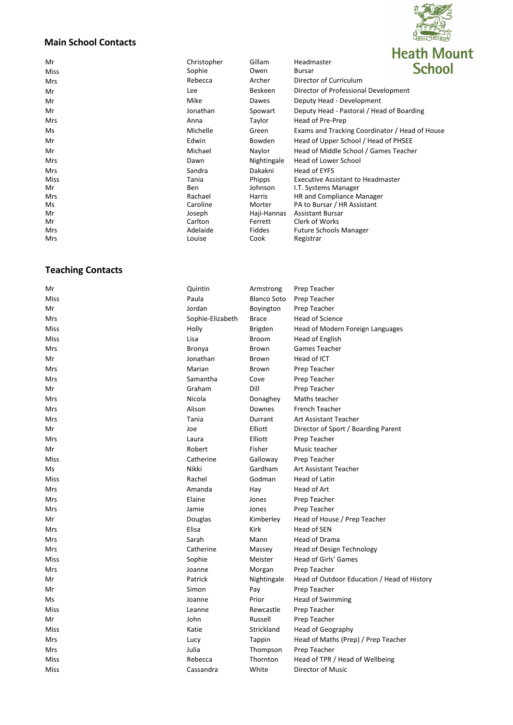# $\tilde{R}$ Z LOYAL DEVOIR **Heath Mount**

## **Main School Contacts**

|             |             |               | I ILALII IVIUUII                               |
|-------------|-------------|---------------|------------------------------------------------|
| Mr          | Christopher | Gillam        | Headmaster<br><b>School</b>                    |
| <b>Miss</b> | Sophie      | Owen          | Bursar                                         |
| <b>Mrs</b>  | Rebecca     | Archer        | Director of Curriculum                         |
| Mr          | <b>Lee</b>  | Beskeen       | Director of Professional Development           |
| Mr          | Mike        | Dawes         | Deputy Head - Development                      |
| Mr          | Jonathan    | Spowart       | Deputy Head - Pastoral / Head of Boarding      |
| <b>Mrs</b>  | Anna        | Taylor        | Head of Pre-Prep                               |
| Ms          | Michelle    | Green         | Exams and Tracking Coordinator / Head of House |
| Mr          | Edwin       | <b>Bowden</b> | Head of Upper School / Head of PHSEE           |
| Mr          | Michael     | Naylor        | Head of Middle School / Games Teacher          |
| <b>Mrs</b>  | Dawn        | Nightingale   | <b>Head of Lower School</b>                    |
| Mrs         | Sandra      | Dakakni       | Head of EYFS                                   |
| Miss        | Tania       | Phipps        | <b>Executive Assistant to Headmaster</b>       |
| Mr          | Ben         | Johnson       | I.T. Systems Manager                           |
| <b>Mrs</b>  | Rachael     | <b>Harris</b> | HR and Compliance Manager                      |
| Ms          | Caroline    | Morter        | PA to Bursar / HR Assistant                    |
| Mr          | Joseph      | Haji-Hannas   | <b>Assistant Bursar</b>                        |
| Mr          | Carlton     | Ferrett       | Clerk of Works                                 |
| Mrs         | Adelaide    | <b>Fiddes</b> | <b>Future Schools Manager</b>                  |
| <b>Mrs</b>  | Louise      | Cook          | Registrar                                      |
|             |             |               |                                                |

## **Teaching Contacts**

| Mr   | Quintin          | Armstrong          | Prep Teacher                                |
|------|------------------|--------------------|---------------------------------------------|
| Miss | Paula            | <b>Blanco Soto</b> | Prep Teacher                                |
| Mr   | Jordan           | Boyington          | Prep Teacher                                |
| Mrs  | Sophie-Elizabeth | <b>Brace</b>       | <b>Head of Science</b>                      |
| Miss | Holly            | <b>Brigden</b>     | Head of Modern Foreign Languages            |
| Miss | Lisa             | <b>Broom</b>       | Head of English                             |
| Mrs  | Bronya           | <b>Brown</b>       | Games Teacher                               |
| Mr   | Jonathan         | Brown              | Head of ICT                                 |
| Mrs  | Marian           | <b>Brown</b>       | Prep Teacher                                |
| Mrs  | Samantha         | Cove               | Prep Teacher                                |
| Mr   | Graham           | Dill               | Prep Teacher                                |
| Mrs  | Nicola           | Donaghey           | Maths teacher                               |
| Mrs  | Alison           | Downes             | <b>French Teacher</b>                       |
| Mrs  | Tania            | Durrant            | Art Assistant Teacher                       |
| Mr   | Joe              | Elliott            | Director of Sport / Boarding Parent         |
| Mrs  | Laura            | Elliott            | Prep Teacher                                |
| Mr   | Robert           | Fisher             | Music teacher                               |
| Miss | Catherine        | Galloway           | Prep Teacher                                |
| Ms   | Nikki            | Gardham            | <b>Art Assistant Teacher</b>                |
| Miss | Rachel           | Godman             | Head of Latin                               |
| Mrs  | Amanda           | Hay                | Head of Art                                 |
| Mrs  | Elaine           | Jones              | Prep Teacher                                |
| Mrs  | Jamie            | Jones              | Prep Teacher                                |
| Mr   | Douglas          | Kimberley          | Head of House / Prep Teacher                |
| Mrs  | Elisa            | <b>Kirk</b>        | Head of SEN                                 |
| Mrs  | Sarah            | Mann               | Head of Drama                               |
| Mrs  | Catherine        | Massey             | Head of Design Technology                   |
| Miss | Sophie           | Meister            | Head of Girls' Games                        |
| Mrs  | Joanne           | Morgan             | Prep Teacher                                |
| Mr   | Patrick          | Nightingale        | Head of Outdoor Education / Head of History |
| Mr   | Simon            | Pay                | Prep Teacher                                |
| Ms   | Joanne           | Prior              | <b>Head of Swimming</b>                     |
| Miss | Leanne           | Rewcastle          | Prep Teacher                                |
| Mr   | John             | Russell            | Prep Teacher                                |
| Miss | Katie            | Strickland         | Head of Geography                           |
| Mrs  | Lucy             | Tappin             | Head of Maths (Prep) / Prep Teacher         |
| Mrs  | Julia            | Thompson           | Prep Teacher                                |
| Miss | Rebecca          | Thornton           | Head of TPR / Head of Wellbeing             |
| Miss | Cassandra        | White              | Director of Music                           |